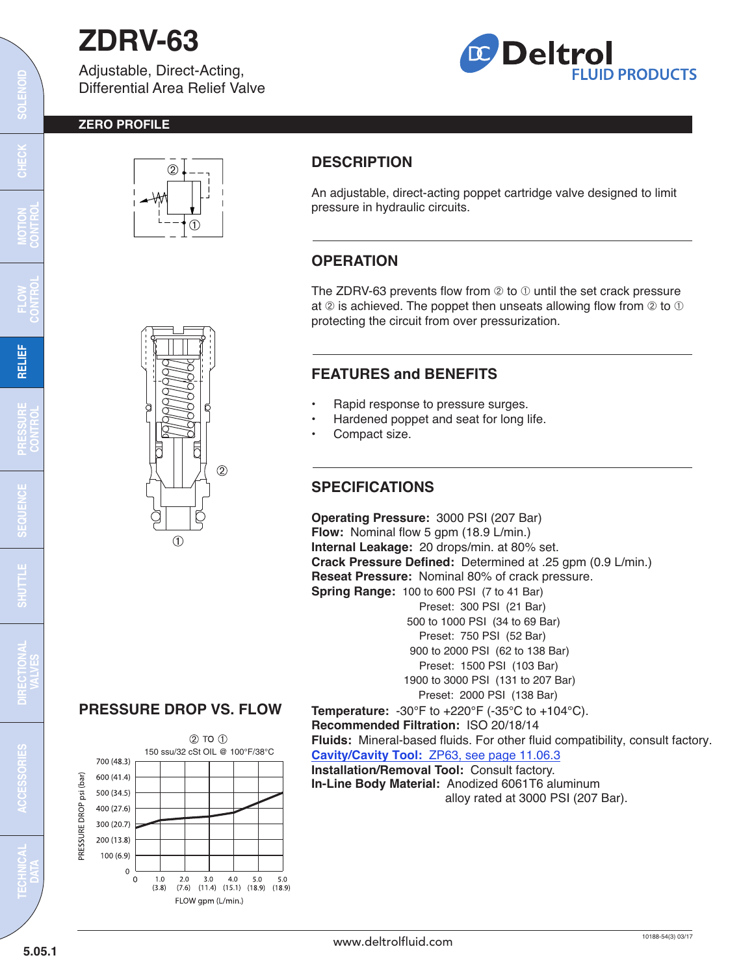# **ZDRV-63**

Adjustable, Direct-Acting, Differential Area Relief Valve



### **ZERO PROFILE**



# **DESCRIPTION**

An adjustable, direct-acting poppet cartridge valve designed to limit pressure in hydraulic circuits.

# **OPERATION**

The ZDRV-63 prevents flow from  $\oslash$  to  $\oslash$  until the set crack pressure at  $\oslash$  is achieved. The poppet then unseats allowing flow from  $\oslash$  to  $\oslash$ protecting the circuit from over pressurization.

# **FEATURES and BENEFITS**

- Rapid response to pressure surges.
- Hardened poppet and seat for long life.
- Compact size.

## **SPECIFICATIONS**

**Operating Pressure:** 3000 PSI (207 Bar) **Flow:** Nominal flow 5 gpm (18.9 L/min.) **Internal Leakage:** 20 drops/min. at 80% set. **Crack Pressure Defined:** Determined at .25 gpm (0.9 L/min.) **Reseat Pressure:** Nominal 80% of crack pressure. **Spring Range:** 100 to 600 PSI (7 to 41 Bar) Preset: 300 PSI (21 Bar) 500 to 1000 PSI (34 to 69 Bar) Preset: 750 PSI (52 Bar) 900 to 2000 PSI (62 to 138 Bar) Preset: 1500 PSI (103 Bar) 1900 to 3000 PSI (131 to 207 Bar) Preset: 2000 PSI (138 Bar) **Temperature:** -30°F to +220°F (-35°C to +104°C). **Recommended Filtration:** ISO 20/18/14 **Fluids:** Mineral-based fluids. For other fluid compatibility, consult factory. **Cavity/Cavity Tool:** [ZP63, see page 11.06.3](http://www.deltrolfluid.com/sites/default/files/cartridge/ZP63_Cavity.pdf)

**Installation/Removal Tool:** Consult factory. **In-Line Body Material:** Anodized 6061T6 aluminum

alloy rated at 3000 PSI (207 Bar).

# ā  $(2)$  $\odot$

 $\overline{\mathrm{c}}$ 

**MOTION CONTROL**

# **PRESSURE DROP VS. FLOW**